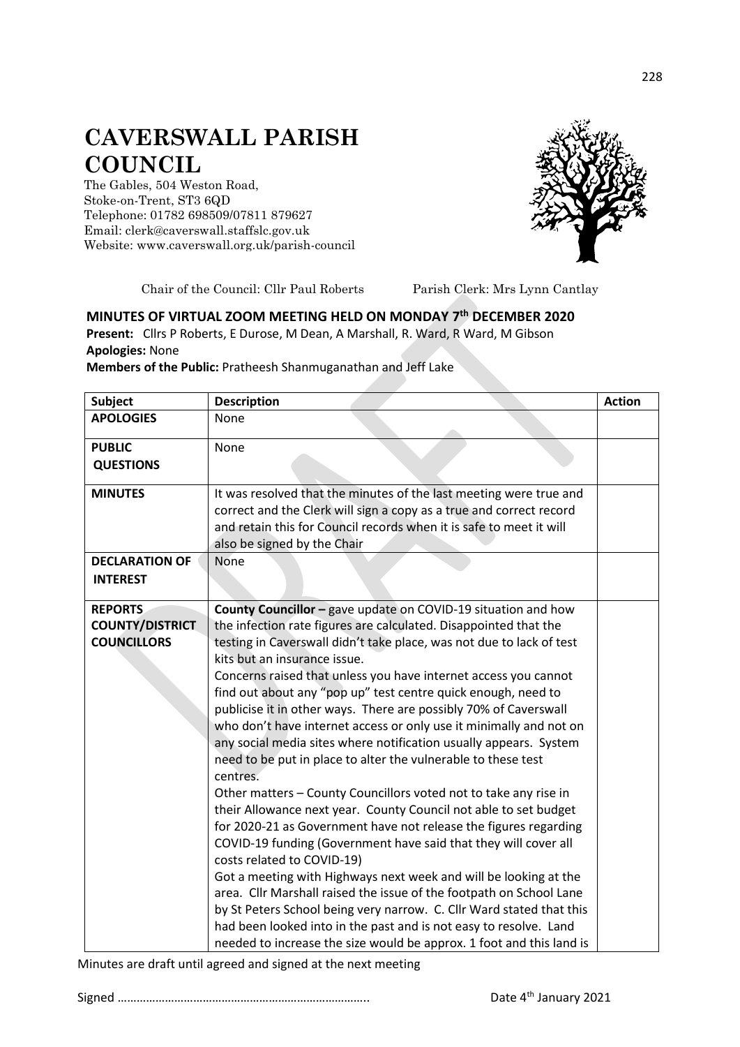## **CAVERSWALL PARISH COUNCIL**

The Gables, 504 Weston Road, Stoke-on-Trent, ST3 6QD Telephone: 01782 698509/07811 879627 Email: clerk@caverswall.staffslc.gov.uk Website: [www.c](http://www.dilhorneparishcouncil.co.uk/)averswall.org.uk/parish-council



Chair of the Council: Cllr Paul Roberts Parish Clerk: Mrs Lynn Cantlay

## **MINUTES OF VIRTUAL ZOOM MEETING HELD ON MONDAY 7 th DECEMBER 2020**

**Present:** Cllrs P Roberts, E Durose, M Dean, A Marshall, R. Ward, R Ward, M Gibson **Apologies:** None

## **Members of the Public:** Pratheesh Shanmuganathan and Jeff Lake

| <b>Subject</b>         | <b>Description</b>                                                   | <b>Action</b> |
|------------------------|----------------------------------------------------------------------|---------------|
| <b>APOLOGIES</b>       | None                                                                 |               |
| <b>PUBLIC</b>          | None                                                                 |               |
| <b>QUESTIONS</b>       |                                                                      |               |
|                        |                                                                      |               |
| <b>MINUTES</b>         | It was resolved that the minutes of the last meeting were true and   |               |
|                        | correct and the Clerk will sign a copy as a true and correct record  |               |
|                        | and retain this for Council records when it is safe to meet it will  |               |
|                        | also be signed by the Chair                                          |               |
| <b>DECLARATION OF</b>  | None                                                                 |               |
| <b>INTEREST</b>        |                                                                      |               |
|                        |                                                                      |               |
| <b>REPORTS</b>         | County Councillor - gave update on COVID-19 situation and how        |               |
| <b>COUNTY/DISTRICT</b> | the infection rate figures are calculated. Disappointed that the     |               |
| <b>COUNCILLORS</b>     | testing in Caverswall didn't take place, was not due to lack of test |               |
|                        | kits but an insurance issue.                                         |               |
|                        | Concerns raised that unless you have internet access you cannot      |               |
|                        | find out about any "pop up" test centre quick enough, need to        |               |
|                        | publicise it in other ways. There are possibly 70% of Caverswall     |               |
|                        | who don't have internet access or only use it minimally and not on   |               |
|                        | any social media sites where notification usually appears. System    |               |
|                        | need to be put in place to alter the vulnerable to these test        |               |
|                        | centres.                                                             |               |
|                        | Other matters - County Councillors voted not to take any rise in     |               |
|                        | their Allowance next year. County Council not able to set budget     |               |
|                        | for 2020-21 as Government have not release the figures regarding     |               |
|                        | COVID-19 funding (Government have said that they will cover all      |               |
|                        | costs related to COVID-19)                                           |               |
|                        | Got a meeting with Highways next week and will be looking at the     |               |
|                        | area. Cllr Marshall raised the issue of the footpath on School Lane  |               |
|                        | by St Peters School being very narrow. C. Cllr Ward stated that this |               |
|                        | had been looked into in the past and is not easy to resolve. Land    |               |
|                        | needed to increase the size would be approx. 1 foot and this land is |               |

Minutes are draft until agreed and signed at the next meeting

Signed …………………………………………………………………….. Date 4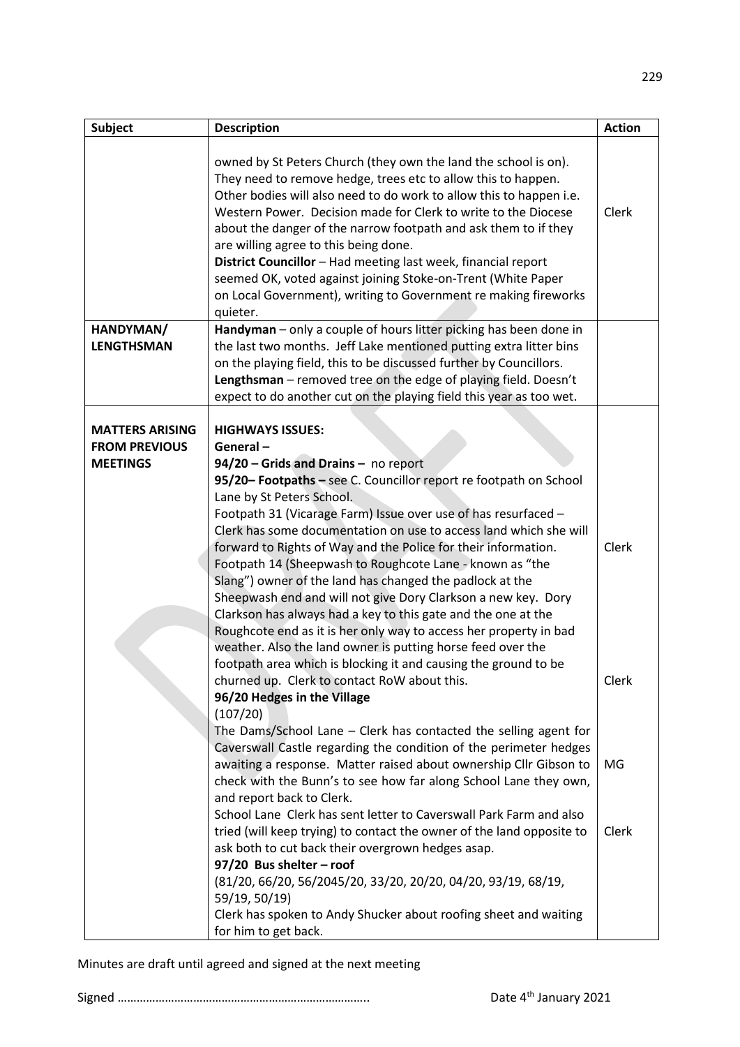| Subject                                                           | <b>Description</b>                                                                                                                                                                                                                                                                                                                                                                                                                                                                                                                                                                                                                                                                                                                                                                   | <b>Action</b> |
|-------------------------------------------------------------------|--------------------------------------------------------------------------------------------------------------------------------------------------------------------------------------------------------------------------------------------------------------------------------------------------------------------------------------------------------------------------------------------------------------------------------------------------------------------------------------------------------------------------------------------------------------------------------------------------------------------------------------------------------------------------------------------------------------------------------------------------------------------------------------|---------------|
| HANDYMAN/                                                         | owned by St Peters Church (they own the land the school is on).<br>They need to remove hedge, trees etc to allow this to happen.<br>Other bodies will also need to do work to allow this to happen i.e.<br>Western Power. Decision made for Clerk to write to the Diocese<br>about the danger of the narrow footpath and ask them to if they<br>are willing agree to this being done.<br>District Councillor - Had meeting last week, financial report<br>seemed OK, voted against joining Stoke-on-Trent (White Paper<br>on Local Government), writing to Government re making fireworks<br>quieter.<br>Handyman - only a couple of hours litter picking has been done in                                                                                                           | Clerk         |
| <b>LENGTHSMAN</b>                                                 | the last two months. Jeff Lake mentioned putting extra litter bins                                                                                                                                                                                                                                                                                                                                                                                                                                                                                                                                                                                                                                                                                                                   |               |
|                                                                   | on the playing field, this to be discussed further by Councillors.                                                                                                                                                                                                                                                                                                                                                                                                                                                                                                                                                                                                                                                                                                                   |               |
|                                                                   | Lengthsman - removed tree on the edge of playing field. Doesn't                                                                                                                                                                                                                                                                                                                                                                                                                                                                                                                                                                                                                                                                                                                      |               |
|                                                                   | expect to do another cut on the playing field this year as too wet.                                                                                                                                                                                                                                                                                                                                                                                                                                                                                                                                                                                                                                                                                                                  |               |
| <b>MATTERS ARISING</b><br><b>FROM PREVIOUS</b><br><b>MEETINGS</b> | <b>HIGHWAYS ISSUES:</b><br>General-<br>94/20 - Grids and Drains - no report<br>95/20- Footpaths - see C. Councillor report re footpath on School<br>Lane by St Peters School.<br>Footpath 31 (Vicarage Farm) Issue over use of has resurfaced -<br>Clerk has some documentation on use to access land which she will<br>forward to Rights of Way and the Police for their information.<br>Footpath 14 (Sheepwash to Roughcote Lane - known as "the<br>Slang") owner of the land has changed the padlock at the<br>Sheepwash end and will not give Dory Clarkson a new key. Dory<br>Clarkson has always had a key to this gate and the one at the<br>Roughcote end as it is her only way to access her property in bad<br>weather. Also the land owner is putting horse feed over the | Clerk         |
|                                                                   | footpath area which is blocking it and causing the ground to be<br>churned up. Clerk to contact RoW about this.<br>96/20 Hedges in the Village<br>(107/20)<br>The Dams/School Lane - Clerk has contacted the selling agent for<br>Caverswall Castle regarding the condition of the perimeter hedges                                                                                                                                                                                                                                                                                                                                                                                                                                                                                  | Clerk<br>MG.  |
|                                                                   | awaiting a response. Matter raised about ownership Cllr Gibson to<br>check with the Bunn's to see how far along School Lane they own,<br>and report back to Clerk.<br>School Lane Clerk has sent letter to Caverswall Park Farm and also<br>tried (will keep trying) to contact the owner of the land opposite to<br>ask both to cut back their overgrown hedges asap.<br>97/20 Bus shelter - roof<br>(81/20, 66/20, 56/2045/20, 33/20, 20/20, 04/20, 93/19, 68/19,<br>59/19, 50/19)<br>Clerk has spoken to Andy Shucker about roofing sheet and waiting<br>for him to get back.                                                                                                                                                                                                     | Clerk         |

Signed …………………………………………………………………….. Date 4

229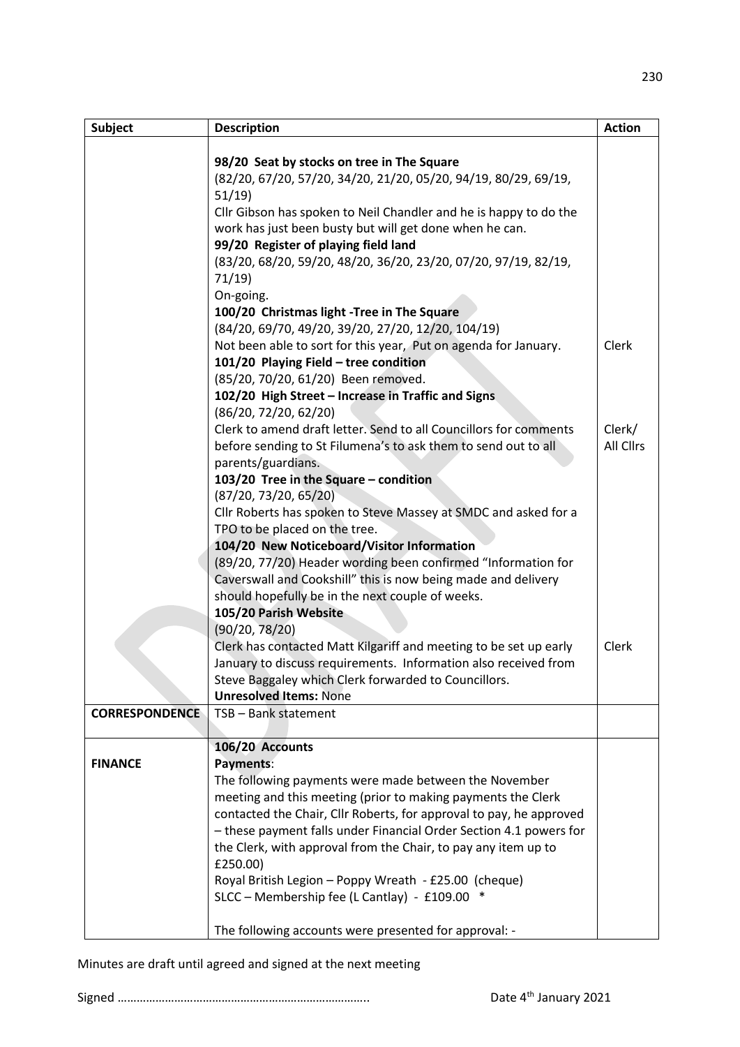| <b>Subject</b>        | <b>Description</b>                                                  | <b>Action</b> |
|-----------------------|---------------------------------------------------------------------|---------------|
|                       |                                                                     |               |
|                       | 98/20 Seat by stocks on tree in The Square                          |               |
|                       | (82/20, 67/20, 57/20, 34/20, 21/20, 05/20, 94/19, 80/29, 69/19,     |               |
|                       | 51/19                                                               |               |
|                       | Cllr Gibson has spoken to Neil Chandler and he is happy to do the   |               |
|                       | work has just been busty but will get done when he can.             |               |
|                       | 99/20 Register of playing field land                                |               |
|                       | (83/20, 68/20, 59/20, 48/20, 36/20, 23/20, 07/20, 97/19, 82/19,     |               |
|                       | 71/19                                                               |               |
|                       | On-going.                                                           |               |
|                       | 100/20 Christmas light -Tree in The Square                          |               |
|                       | (84/20, 69/70, 49/20, 39/20, 27/20, 12/20, 104/19)                  |               |
|                       | Not been able to sort for this year, Put on agenda for January.     | Clerk         |
|                       | 101/20 Playing Field - tree condition                               |               |
|                       | (85/20, 70/20, 61/20) Been removed.                                 |               |
|                       | 102/20 High Street - Increase in Traffic and Signs                  |               |
|                       | (86/20, 72/20, 62/20)                                               |               |
|                       | Clerk to amend draft letter. Send to all Councillors for comments   | Clerk/        |
|                       | before sending to St Filumena's to ask them to send out to all      | All Cllrs     |
|                       | parents/guardians.                                                  |               |
|                       | 103/20 Tree in the Square - condition                               |               |
|                       | (87/20, 73/20, 65/20)                                               |               |
|                       | Cllr Roberts has spoken to Steve Massey at SMDC and asked for a     |               |
|                       | TPO to be placed on the tree.                                       |               |
|                       | 104/20 New Noticeboard/Visitor Information                          |               |
|                       | (89/20, 77/20) Header wording been confirmed "Information for       |               |
|                       | Caverswall and Cookshill" this is now being made and delivery       |               |
|                       | should hopefully be in the next couple of weeks.                    |               |
|                       | 105/20 Parish Website                                               |               |
|                       | (90/20, 78/20)                                                      |               |
|                       | Clerk has contacted Matt Kilgariff and meeting to be set up early   | Clerk         |
|                       | January to discuss requirements. Information also received from     |               |
|                       | Steve Baggaley which Clerk forwarded to Councillors.                |               |
|                       | <b>Unresolved Items: None</b>                                       |               |
| <b>CORRESPONDENCE</b> | TSB - Bank statement                                                |               |
|                       |                                                                     |               |
|                       | 106/20 Accounts                                                     |               |
| <b>FINANCE</b>        | Payments:                                                           |               |
|                       | The following payments were made between the November               |               |
|                       | meeting and this meeting (prior to making payments the Clerk        |               |
|                       | contacted the Chair, Cllr Roberts, for approval to pay, he approved |               |
|                       | - these payment falls under Financial Order Section 4.1 powers for  |               |
|                       | the Clerk, with approval from the Chair, to pay any item up to      |               |
|                       | £250.00)                                                            |               |
|                       | Royal British Legion - Poppy Wreath - £25.00 (cheque)               |               |
|                       | SLCC - Membership fee (L Cantlay) - £109.00 *                       |               |
|                       |                                                                     |               |
|                       | The following accounts were presented for approval: -               |               |

Minutes are draft until agreed and signed at the next meeting

Signed …………………………………………………………………….. Date 4